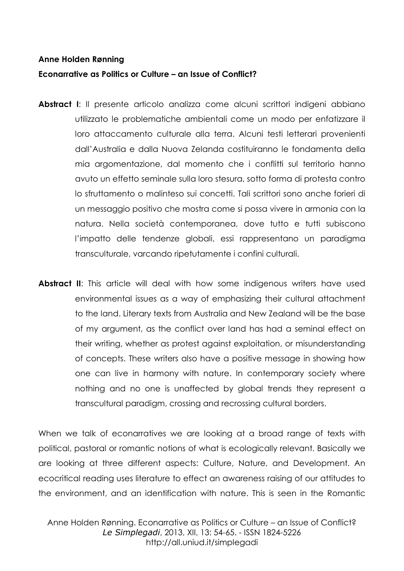#### **Anne Holden Rønning**

### **Econarrative as Politics or Culture – an Issue of Conflict?**

- **Abstract I**: Il presente articolo analizza come alcuni scrittori indigeni abbiano utilizzato le problematiche ambientali come un modo per enfatizzare il loro attaccamento culturale alla terra. Alcuni testi letterari provenienti dall'Australia e dalla Nuova Zelanda costituiranno le fondamenta della mia argomentazione, dal momento che i conflitti sul territorio hanno avuto un effetto seminale sulla loro stesura, sotto forma di protesta contro lo sfruttamento o malinteso sui concetti. Tali scrittori sono anche forieri di un messaggio positivo che mostra come si possa vivere in armonia con la natura. Nella società contemporanea, dove tutto e tutti subiscono l'impatto delle tendenze globali, essi rappresentano un paradigma transculturale, varcando ripetutamente i confini culturali.
- **Abstract II:** This article will deal with how some indigenous writers have used environmental issues as a way of emphasizing their cultural attachment to the land. Literary texts from Australia and New Zealand will be the base of my argument, as the conflict over land has had a seminal effect on their writing, whether as protest against exploitation, or misunderstanding of concepts. These writers also have a positive message in showing how one can live in harmony with nature. In contemporary society where nothing and no one is unaffected by global trends they represent a transcultural paradigm, crossing and recrossing cultural borders.

When we talk of econarratives we are looking at a broad range of texts with political, pastoral or romantic notions of what is ecologically relevant. Basically we are looking at three different aspects: Culture, Nature, and Development. An ecocritical reading uses literature to effect an awareness raising of our attitudes to the environment, and an identification with nature. This is seen in the Romantic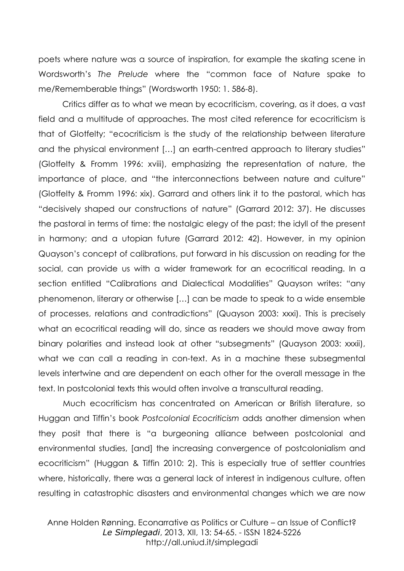poets where nature was a source of inspiration, for example the skating scene in Wordsworth's *The Prelude* where the "common face of Nature spake to me/Rememberable things" (Wordsworth 1950: 1. 586-8).

Critics differ as to what we mean by ecocriticism, covering, as it does, a vast field and a multitude of approaches. The most cited reference for ecocriticism is that of Glotfelty; "ecocriticism is the study of the relationship between literature and the physical environment […] an earth-centred approach to literary studies" (Glotfelty & Fromm 1996: xviii), emphasizing the representation of nature, the importance of place, and "the interconnections between nature and culture" (Glotfelty & Fromm 1996: xix). Garrard and others link it to the pastoral, which has "decisively shaped our constructions of nature" (Garrard 2012: 37). He discusses the pastoral in terms of time: the nostalgic elegy of the past; the idyll of the present in harmony; and a utopian future (Garrard 2012: 42). However, in my opinion Quayson's concept of calibrations, put forward in his discussion on reading for the social, can provide us with a wider framework for an ecocritical reading. In a section entitled "Calibrations and Dialectical Modalities" Quayson writes: "any phenomenon, literary or otherwise […] can be made to speak to a wide ensemble of processes, relations and contradictions" (Quayson 2003: xxxi). This is precisely what an ecocritical reading will do, since as readers we should move away from binary polarities and instead look at other "subsegments" (Quayson 2003: xxxii), what we can call a reading in con-text. As in a machine these subsegmental levels intertwine and are dependent on each other for the overall message in the text. In postcolonial texts this would often involve a transcultural reading.

Much ecocriticism has concentrated on American or British literature, so Huggan and Tiffin's book *Postcolonial Ecocriticism* adds another dimension when they posit that there is "a burgeoning alliance between postcolonial and environmental studies, [and] the increasing convergence of postcolonialism and ecocriticism" (Huggan & Tiffin 2010: 2). This is especially true of settler countries where, historically, there was a general lack of interest in indigenous culture, often resulting in catastrophic disasters and environmental changes which we are now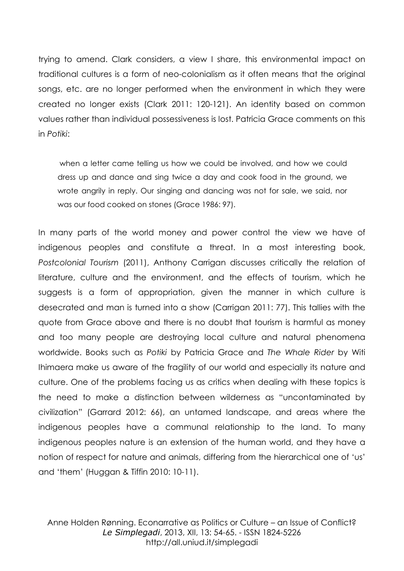trying to amend. Clark considers, a view I share, this environmental impact on traditional cultures is a form of neo-colonialism as it often means that the original songs, etc. are no longer performed when the environment in which they were created no longer exists (Clark 2011: 120-121). An identity based on common values rather than individual possessiveness is lost. Patricia Grace comments on this in *Potiki*:

when a letter came telling us how we could be involved, and how we could dress up and dance and sing twice a day and cook food in the ground, we wrote angrily in reply. Our singing and dancing was not for sale, we said, nor was our food cooked on stones (Grace 1986: 97).

In many parts of the world money and power control the view we have of indigenous peoples and constitute a threat. In a most interesting book, *Postcolonial Tourism* (2011), Anthony Carrigan discusses critically the relation of literature, culture and the environment, and the effects of tourism, which he suggests is a form of appropriation, given the manner in which culture is desecrated and man is turned into a show (Carrigan 2011: 77). This tallies with the quote from Grace above and there is no doubt that tourism is harmful as money and too many people are destroying local culture and natural phenomena worldwide. Books such as *Potiki* by Patricia Grace and *The Whale Rider* by Witi Ihimaera make us aware of the fragility of our world and especially its nature and culture. One of the problems facing us as critics when dealing with these topics is the need to make a distinction between wilderness as "uncontaminated by civilization" (Garrard 2012: 66), an untamed landscape, and areas where the indigenous peoples have a communal relationship to the land. To many indigenous peoples nature is an extension of the human world, and they have a notion of respect for nature and animals, differing from the hierarchical one of 'us' and 'them' (Huggan & Tiffin 2010: 10-11).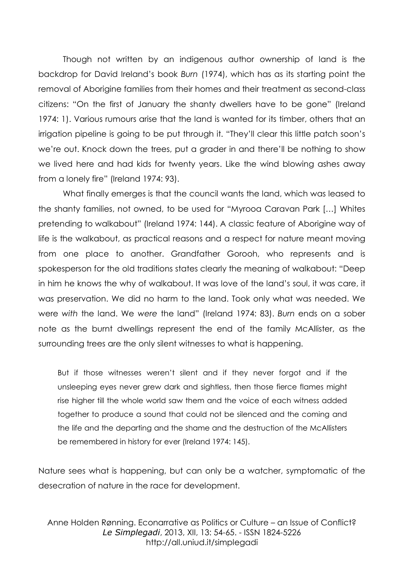Though not written by an indigenous author ownership of land is the backdrop for David Ireland's book *Burn* (1974), which has as its starting point the removal of Aborigine families from their homes and their treatment as second-class citizens: "On the first of January the shanty dwellers have to be gone" (Ireland 1974: 1). Various rumours arise that the land is wanted for its timber, others that an irrigation pipeline is going to be put through it. "They'll clear this little patch soon's we're out. Knock down the trees, put a grader in and there'll be nothing to show we lived here and had kids for twenty years. Like the wind blowing ashes away from a lonely fire" (Ireland 1974: 93).

What finally emerges is that the council wants the land, which was leased to the shanty families, not owned, to be used for "Myrooa Caravan Park […] Whites pretending to walkabout" (Ireland 1974: 144). A classic feature of Aborigine way of life is the walkabout, as practical reasons and a respect for nature meant moving from one place to another. Grandfather Gorooh, who represents and is spokesperson for the old traditions states clearly the meaning of walkabout: "Deep in him he knows the why of walkabout. It was love of the land's soul, it was care, it was preservation. We did no harm to the land. Took only what was needed. We were *with* the land. We *were* the land" (Ireland 1974: 83). *Burn* ends on a sober note as the burnt dwellings represent the end of the family McAllister, as the surrounding trees are the only silent witnesses to what is happening.

But if those witnesses weren't silent and if they never forgot and if the unsleeping eyes never grew dark and sightless, then those fierce flames might rise higher till the whole world saw them and the voice of each witness added together to produce a sound that could not be silenced and the coming and the life and the departing and the shame and the destruction of the McAllisters be remembered in history for ever (Ireland 1974: 145).

Nature sees what is happening, but can only be a watcher, symptomatic of the desecration of nature in the race for development.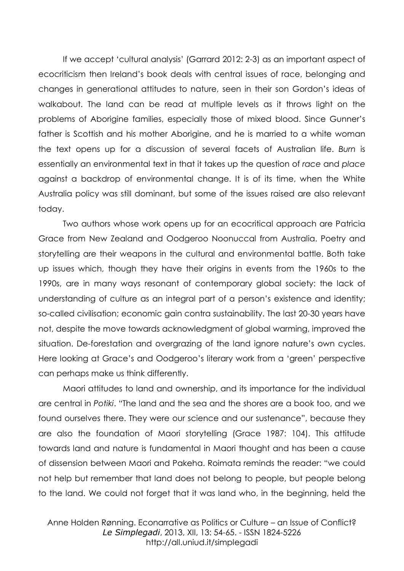If we accept 'cultural analysis' (Garrard 2012: 2-3) as an important aspect of ecocriticism then Ireland's book deals with central issues of race, belonging and changes in generational attitudes to nature, seen in their son Gordon's ideas of walkabout. The land can be read at multiple levels as it throws light on the problems of Aborigine families, especially those of mixed blood. Since Gunner's father is Scottish and his mother Aborigine, and he is married to a white woman the text opens up for a discussion of several facets of Australian life. *Burn* is essentially an environmental text in that it takes up the question of *race* and *place* against a backdrop of environmental change. It is of its time, when the White Australia policy was still dominant, but some of the issues raised are also relevant today.

Two authors whose work opens up for an ecocritical approach are Patricia Grace from New Zealand and Oodgeroo Noonuccal from Australia. Poetry and storytelling are their weapons in the cultural and environmental battle. Both take up issues which, though they have their origins in events from the 1960s to the 1990s, are in many ways resonant of contemporary global society: the lack of understanding of culture as an integral part of a person's existence and identity; so-called civilisation; economic gain contra sustainability. The last 20-30 years have not, despite the move towards acknowledgment of global warming, improved the situation. De-forestation and overgrazing of the land ignore nature's own cycles. Here looking at Grace's and Oodgeroo's literary work from a 'green' perspective can perhaps make us think differently.

Maori attitudes to land and ownership, and its importance for the individual are central in *Potiki*. "The land and the sea and the shores are a book too, and we found ourselves there. They were our science and our sustenance", because they are also the foundation of Maori storytelling (Grace 1987: 104). This attitude towards land and nature is fundamental in Maori thought and has been a cause of dissension between Maori and Pakeha. Roimata reminds the reader: "we could not help but remember that land does not belong to people, but people belong to the land. We could not forget that it was land who, in the beginning, held the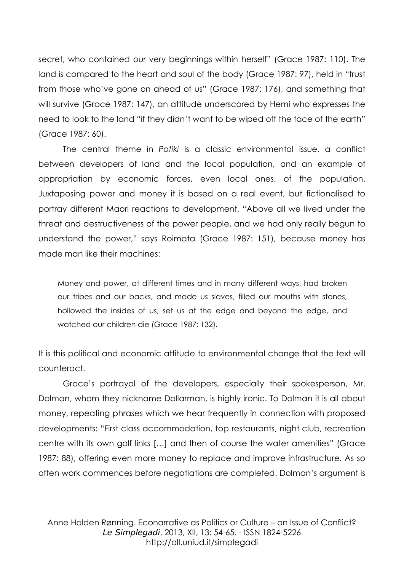secret, who contained our very beginnings within herself" (Grace 1987: 110). The land is compared to the heart and soul of the body (Grace 1987: 97), held in "trust from those who've gone on ahead of us" (Grace 1987: 176), and something that will survive (Grace 1987: 147), an attitude underscored by Hemi who expresses the need to look to the land "if they didn't want to be wiped off the face of the earth" (Grace 1987: 60).

The central theme in *Potiki* is a classic environmental issue, a conflict between developers of land and the local population, and an example of appropriation by economic forces, even local ones, of the population. Juxtaposing power and money it is based on a real event, but fictionalised to portray different Maori reactions to development. "Above all we lived under the threat and destructiveness of the power people, and we had only really begun to understand the power," says Roimata (Grace 1987: 151), because money has made man like their machines:

Money and power, at different times and in many different ways, had broken our tribes and our backs, and made us slaves, filled our mouths with stones, hollowed the insides of us, set us at the edge and beyond the edge, and watched our children die (Grace 1987: 132).

It is this political and economic attitude to environmental change that the text will counteract.

Grace's portrayal of the developers, especially their spokesperson, Mr. Dolman, whom they nickname Dollarman, is highly ironic. To Dolman it is all about money, repeating phrases which we hear frequently in connection with proposed developments: "First class accommodation, top restaurants, night club, recreation centre with its own golf links […] and then of course the water amenities" (Grace 1987: 88), offering even more money to replace and improve infrastructure. As so often work commences before negotiations are completed. Dolman's argument is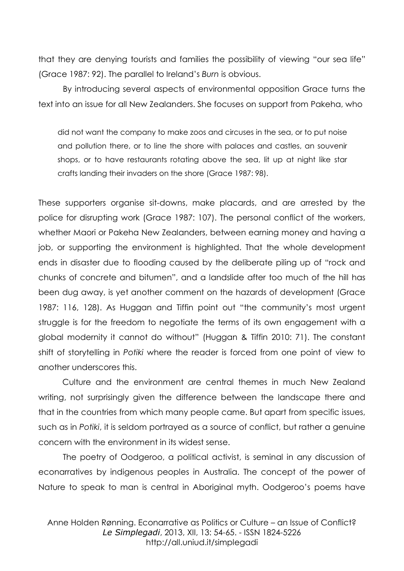that they are denying tourists and families the possibility of viewing "our sea life" (Grace 1987: 92). The parallel to Ireland's *Burn* is obvious.

By introducing several aspects of environmental opposition Grace turns the text into an issue for all New Zealanders. She focuses on support from Pakeha, who

did not want the company to make zoos and circuses in the sea, or to put noise and pollution there, or to line the shore with palaces and castles, an souvenir shops, or to have restaurants rotating above the sea, lit up at night like star crafts landing their invaders on the shore (Grace 1987: 98).

These supporters organise sit-downs, make placards, and are arrested by the police for disrupting work (Grace 1987: 107). The personal conflict of the workers, whether Maori or Pakeha New Zealanders, between earning money and having a job, or supporting the environment is highlighted. That the whole development ends in disaster due to flooding caused by the deliberate piling up of "rock and chunks of concrete and bitumen", and a landslide after too much of the hill has been dug away, is yet another comment on the hazards of development (Grace 1987: 116, 128). As Huggan and Tiffin point out "the community's most urgent struggle is for the freedom to negotiate the terms of its own engagement with a global modernity it cannot do without" (Huggan & Tiffin 2010: 71). The constant shift of storytelling in *Potiki* where the reader is forced from one point of view to another underscores this.

Culture and the environment are central themes in much New Zealand writing, not surprisingly given the difference between the landscape there and that in the countries from which many people came. But apart from specific issues, such as in *Potiki*, it is seldom portrayed as a source of conflict, but rather a genuine concern with the environment in its widest sense.

The poetry of Oodgeroo, a political activist, is seminal in any discussion of econarratives by indigenous peoples in Australia. The concept of the power of Nature to speak to man is central in Aboriginal myth. Oodgeroo's poems have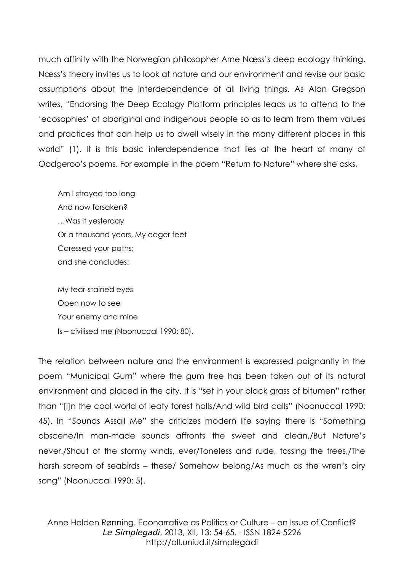much affinity with the Norwegian philosopher Arne Næss's deep ecology thinking. Næss's theory invites us to look at nature and our environment and revise our basic assumptions about the interdependence of all living things. As Alan Gregson writes, "Endorsing the Deep Ecology Platform principles leads us to attend to the 'ecosophies' of aboriginal and indigenous people so as to learn from them values and practices that can help us to dwell wisely in the many different places in this world" (1). It is this basic interdependence that lies at the heart of many of Oodgeroo's poems. For example in the poem "Return to Nature" where she asks,

Am I strayed too long And now forsaken? …Was it yesterday Or a thousand years, My eager feet Caressed your paths; and she concludes:

My tear-stained eyes Open now to see Your enemy and mine Is – civilised me (Noonuccal 1990: 80).

The relation between nature and the environment is expressed poignantly in the poem "Municipal Gum" where the gum tree has been taken out of its natural environment and placed in the city. It is "set in your black grass of bitumen" rather than "[i]n the cool world of leafy forest halls/And wild bird calls" (Noonuccal 1990: 45). In "Sounds Assail Me" she criticizes modern life saying there is "Something obscene/In man-made sounds affronts the sweet and clean,/But Nature's never./Shout of the stormy winds, ever/Toneless and rude, tossing the trees,/The harsh scream of seabirds – these/ Somehow belong/As much as the wren's airy song" (Noonuccal 1990: 5).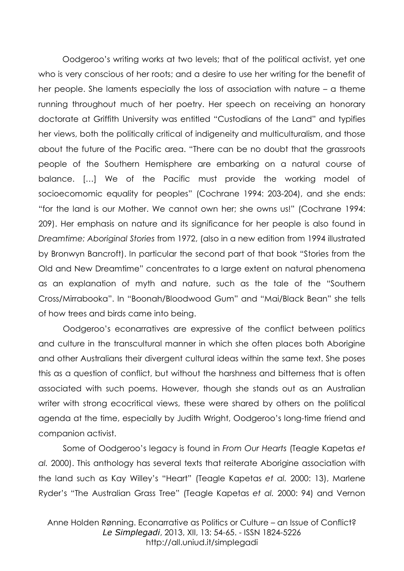Oodgeroo's writing works at two levels; that of the political activist, yet one who is very conscious of her roots; and a desire to use her writing for the benefit of her people. She laments especially the loss of association with nature – a theme running throughout much of her poetry. Her speech on receiving an honorary doctorate at Griffith University was entitled "Custodians of the Land" and typifies her views, both the politically critical of indigeneity and multiculturalism, and those about the future of the Pacific area. "There can be no doubt that the grassroots people of the Southern Hemisphere are embarking on a natural course of balance. […] We of the Pacific must provide the working model of socioecomomic equality for peoples" (Cochrane 1994: 203-204), and she ends: "for the land is our Mother. We cannot own her; she owns us!" (Cochrane 1994: 209). Her emphasis on nature and its significance for her people is also found in *Dreamtime: Aboriginal Stories* from 1972, (also in a new edition from 1994 illustrated by Bronwyn Bancroft). In particular the second part of that book "Stories from the Old and New Dreamtime" concentrates to a large extent on natural phenomena as an explanation of myth and nature, such as the tale of the "Southern Cross/Mirrabooka". In "Boonah/Bloodwood Gum" and "Mai/Black Bean" she tells of how trees and birds came into being.

Oodgeroo's econarratives are expressive of the conflict between politics and culture in the transcultural manner in which she often places both Aborigine and other Australians their divergent cultural ideas within the same text. She poses this as a question of conflict, but without the harshness and bitterness that is often associated with such poems. However, though she stands out as an Australian writer with strong ecocritical views, these were shared by others on the political agenda at the time, especially by Judith Wright, Oodgeroo's long-time friend and companion activist.

Some of Oodgeroo's legacy is found in *From Our Hearts* (Teagle Kapetas *et al.* 2000). This anthology has several texts that reiterate Aborigine association with the land such as Kay Willey's "Heart" (Teagle Kapetas *et al.* 2000: 13), Marlene Ryder's "The Australian Grass Tree" (Teagle Kapetas *et al.* 2000: 94) and Vernon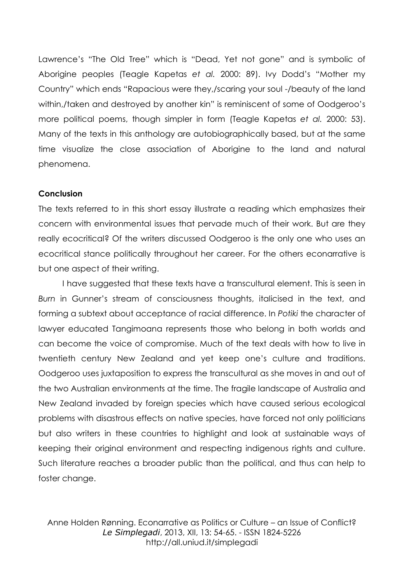Lawrence's "The Old Tree" which is "Dead, Yet not gone" and is symbolic of Aborigine peoples (Teagle Kapetas *et al.* 2000: 89). Ivy Dodd's "Mother my Country" which ends "Rapacious were they,/scaring your soul -/beauty of the land within,/taken and destroyed by another kin" is reminiscent of some of Oodgeroo's more political poems, though simpler in form (Teagle Kapetas *et al.* 2000: 53). Many of the texts in this anthology are autobiographically based, but at the same time visualize the close association of Aborigine to the land and natural phenomena.

### **Conclusion**

The texts referred to in this short essay illustrate a reading which emphasizes their concern with environmental issues that pervade much of their work. But are they really ecocritical? Of the writers discussed Oodgeroo is the only one who uses an ecocritical stance politically throughout her career. For the others econarrative is but one aspect of their writing.

I have suggested that these texts have a transcultural element. This is seen in *Burn* in Gunner's stream of consciousness thoughts, italicised in the text, and forming a subtext about acceptance of racial difference. In *Potiki* the character of lawyer educated Tangimoana represents those who belong in both worlds and can become the voice of compromise. Much of the text deals with how to live in twentieth century New Zealand and yet keep one's culture and traditions. Oodgeroo uses juxtaposition to express the transcultural as she moves in and out of the two Australian environments at the time. The fragile landscape of Australia and New Zealand invaded by foreign species which have caused serious ecological problems with disastrous effects on native species, have forced not only politicians but also writers in these countries to highlight and look at sustainable ways of keeping their original environment and respecting indigenous rights and culture. Such literature reaches a broader public than the political, and thus can help to foster change.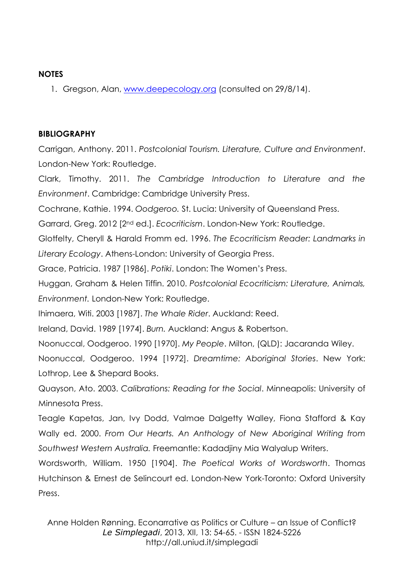## **NOTES**

1. Gregson, Alan, [www.deepecology.org](http://www.deepecology.org/) (consulted on 29/8/14).

# **BIBLIOGRAPHY**

Carrigan, Anthony. 2011. *Postcolonial Tourism. Literature, Culture and Environment*. London-New York: Routledge.

Clark, Timothy. 2011. *The Cambridge Introduction to Literature and the Environment*. Cambridge: Cambridge University Press.

Cochrane, Kathie. 1994. *Oodgeroo.* St. Lucia: University of Queensland Press.

Garrard, Greg. 2012 [2nd ed.]. *Ecocriticism*. London-New York: Routledge.

Glotfelty, Cheryll & Harald Fromm ed. 1996. *The Ecocriticism Reader: Landmarks in Literary Ecology*. Athens-London: University of Georgia Press.

Grace, Patricia. 1987 [1986]. *Potiki*. London: The Women's Press.

Huggan, Graham & Helen Tiffin. 2010. *Postcolonial Ecocriticism: Literature, Animals, Environment.* London-New York: Routledge.

Ihimaera, Witi. 2003 [1987]. *The Whale Rider*. Auckland: Reed.

Ireland, David. 1989 [1974]. *Burn.* Auckland: Angus & Robertson.

Noonuccal, Oodgeroo. 1990 [1970]. *My People*. Milton, (QLD): Jacaranda Wiley.

Noonuccal, Oodgeroo. 1994 [1972]. *Dreamtime: Aboriginal Stories*. New York: Lothrop, Lee & Shepard Books.

Quayson, Ato. 2003. *Calibrations: Reading for the Social*. Minneapolis: University of Minnesota Press.

Teagle Kapetas, Jan, Ivy Dodd, Valmae Dalgetty Walley, Fiona Stafford & Kay Wally ed. 2000. *From Our Hearts. An Anthology of New Aboriginal Writing from Southwest Western Australia.* Freemantle: Kadadjiny Mia Walyalup Writers.

Wordsworth, William. 1950 [1904]. *The Poetical Works of Wordsworth*. Thomas Hutchinson & Ernest de Selincourt ed. London-New York-Toronto: Oxford University Press.